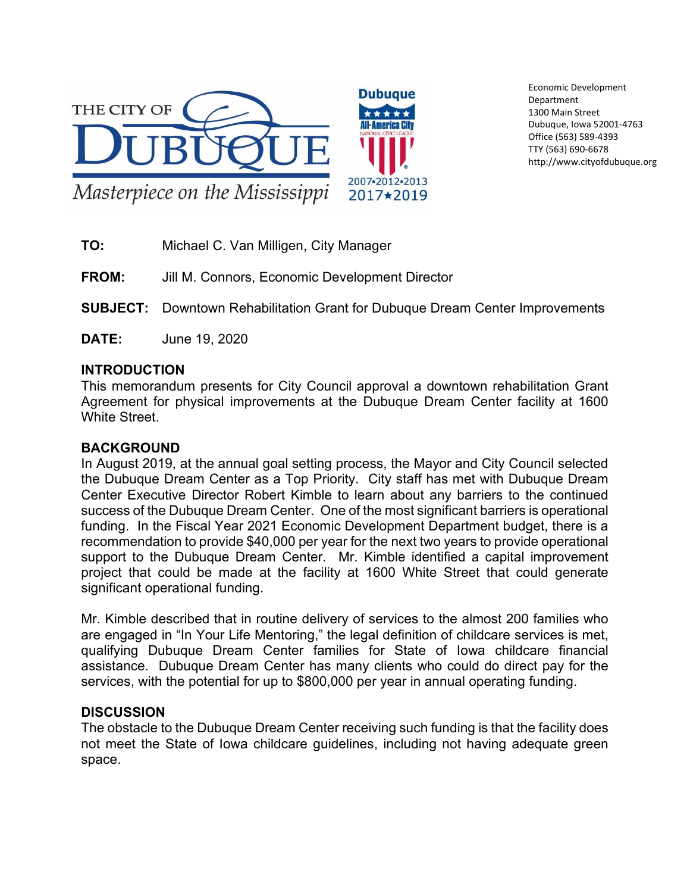

Economic Development Department 1300 Main Street Dubuque, Iowa 52001-4763 Office (563) 589-4393 TTY (563) 690-6678 http://www.cityofdubuque.org

**TO:** Michael C. Van Milligen, City Manager

**FROM:** Jill M. Connors, Economic Development Director

- **SUBJECT:** Downtown Rehabilitation Grant for Dubuque Dream Center Improvements
- **DATE:** June 19, 2020

## **INTRODUCTION**

This memorandum presents for City Council approval a downtown rehabilitation Grant Agreement for physical improvements at the Dubuque Dream Center facility at 1600 White Street.

## **BACKGROUND**

In August 2019, at the annual goal setting process, the Mayor and City Council selected the Dubuque Dream Center as a Top Priority. City staff has met with Dubuque Dream Center Executive Director Robert Kimble to learn about any barriers to the continued success of the Dubuque Dream Center. One of the most significant barriers is operational funding. In the Fiscal Year 2021 Economic Development Department budget, there is a recommendation to provide \$40,000 per year for the next two years to provide operational support to the Dubuque Dream Center. Mr. Kimble identified a capital improvement project that could be made at the facility at 1600 White Street that could generate significant operational funding.

Mr. Kimble described that in routine delivery of services to the almost 200 families who are engaged in "In Your Life Mentoring," the legal definition of childcare services is met, qualifying Dubuque Dream Center families for State of Iowa childcare financial assistance. Dubuque Dream Center has many clients who could do direct pay for the services, with the potential for up to \$800,000 per year in annual operating funding.

## **DISCUSSION**

The obstacle to the Dubuque Dream Center receiving such funding is that the facility does not meet the State of Iowa childcare guidelines, including not having adequate green space.